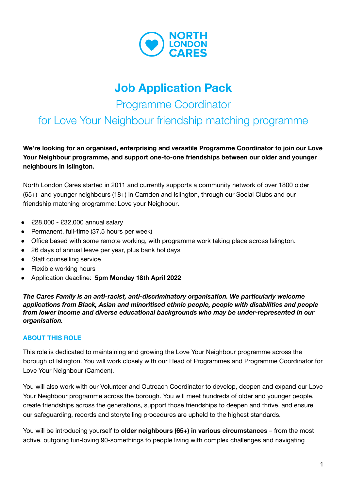

# **Job Application Pack**

Programme Coordinator

for Love Your Neighbour friendship matching programme

**We're looking for an organised, enterprising and versatile Programme Coordinator to join our Love Your Neighbour programme, and support one-to-one friendships between our older and younger neighbours in Islington.**

North London Cares started in 2011 and currently supports a community network of over 1800 older (65+) and younger neighbours (18+) in Camden and Islington, through our Social Clubs and our friendship matching programme: Love your Neighbour**.**

- £28,000 £32,000 annual salary
- Permanent, full-time (37.5 hours per week)
- Office based with some remote working, with programme work taking place across Islington.
- 26 days of annual leave per year, plus bank holidays
- Staff counselling service
- Flexible working hours
- Application deadline: **5pm Monday 18th April 2022**

*The Cares Family is an anti-racist, anti-discriminatory organisation. We particularly welcome applications from Black, Asian and minoritised ethnic people, people with disabilities and people from lower income and diverse educational backgrounds who may be under-represented in our organisation.*

#### **ABOUT THIS ROLE**

This role is dedicated to maintaining and growing the Love Your Neighbour programme across the borough of Islington. You will work closely with our Head of Programmes and Programme Coordinator for Love Your Neighbour (Camden).

You will also work with our Volunteer and Outreach Coordinator to develop, deepen and expand our Love Your Neighbour programme across the borough. You will meet hundreds of older and younger people, create friendships across the generations, support those friendships to deepen and thrive, and ensure our safeguarding, records and storytelling procedures are upheld to the highest standards.

You will be introducing yourself to **older neighbours (65+) in various circumstances** – from the most active, outgoing fun-loving 90-somethings to people living with complex challenges and navigating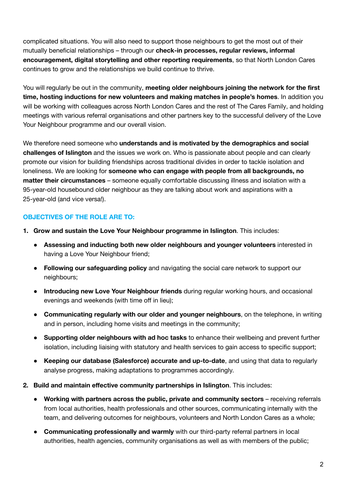complicated situations. You will also need to support those neighbours to get the most out of their mutually beneficial relationships – through our **check-in processes, regular reviews, informal encouragement, digital storytelling and other reporting requirements**, so that North London Cares continues to grow and the relationships we build continue to thrive.

You will regularly be out in the community, **meeting older neighbours joining the network for the first time, hosting inductions for new volunteers and making matches in people's homes**. In addition you will be working with colleagues across North London Cares and the rest of The Cares Family, and holding meetings with various referral organisations and other partners key to the successful delivery of the Love Your Neighbour programme and our overall vision.

We therefore need someone who **understands and is motivated by the demographics and social challenges of Islington** and the issues we work on. Who is passionate about people and can clearly promote our vision for building friendships across traditional divides in order to tackle isolation and loneliness. We are looking for **someone who can engage with people from all backgrounds, no matter their circumstances** – someone equally comfortable discussing illness and isolation with a 95-year-old housebound older neighbour as they are talking about work and aspirations with a 25-year-old (and vice versa!).

### **OBJECTIVES OF THE ROLE ARE TO:**

- **1. Grow and sustain the Love Your Neighbour programme in Islington**. This includes:
	- **Assessing and inducting both new older neighbours and younger volunteers** interested in having a Love Your Neighbour friend;
	- **Following our safeguarding policy** and navigating the social care network to support our neighbours;
	- **Introducing new Love Your Neighbour friends** during regular working hours, and occasional evenings and weekends (with time off in lieu);
	- **Communicating regularly with our older and younger neighbours**, on the telephone, in writing and in person, including home visits and meetings in the community;
	- **Supporting older neighbours with ad hoc tasks** to enhance their wellbeing and prevent further isolation, including liaising with statutory and health services to gain access to specific support;
	- **Keeping our database (Salesforce) accurate and up-to-date**, and using that data to regularly analyse progress, making adaptations to programmes accordingly.
- **2. Build and maintain effective community partnerships in Islington**. This includes:
	- **● Working with partners across the public, private and community sectors** receiving referrals from local authorities, health professionals and other sources, communicating internally with the team, and delivering outcomes for neighbours, volunteers and North London Cares as a whole;
	- **Communicating professionally and warmly** with our third-party referral partners in local authorities, health agencies, community organisations as well as with members of the public;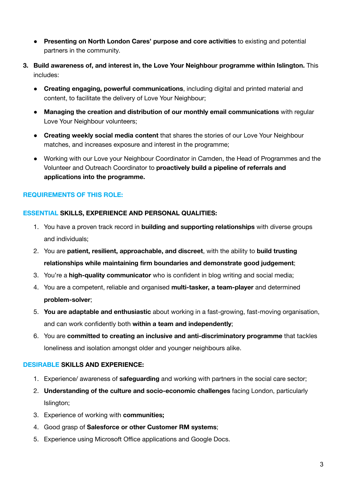- **Presenting on North London Cares' purpose and core activities** to existing and potential partners in the community.
- **3. Build awareness of, and interest in, the Love Your Neighbour programme within Islington.** This includes:
	- **● Creating engaging, powerful communications**, including digital and printed material and content, to facilitate the delivery of Love Your Neighbour;
	- **● Managing the creation and distribution of our monthly email communications** with regular Love Your Neighbour volunteers;
	- **Creating weekly social media content** that shares the stories of our Love Your Neighbour matches, and increases exposure and interest in the programme;
	- Working with our Love your Neighbour Coordinator in Camden, the Head of Programmes and the Volunteer and Outreach Coordinator to **proactively build a pipeline of referrals and applications into the programme.**

### **REQUIREMENTS OF THIS ROLE:**

#### **ESSENTIAL SKILLS, EXPERIENCE AND PERSONAL QUALITIES:**

- 1. You have a proven track record in **building and supporting relationships** with diverse groups and individuals;
- 2. You are **patient, resilient, approachable, and discreet**, with the ability to **build trusting relationships while maintaining firm boundaries and demonstrate good judgement**;
- 3. You're a **high-quality communicator** who is confident in blog writing and social media;
- 4. You are a competent, reliable and organised **multi-tasker, a team-player** and determined **problem-solver**;
- 5. **You are adaptable and enthusiastic** about working in a fast-growing, fast-moving organisation, and can work confidently both **within a team and independently**;
- 6. You are **committed to creating an inclusive and anti-discriminatory programme** that tackles loneliness and isolation amongst older and younger neighbours alike.

#### **DESIRABLE SKILLS AND EXPERIENCE:**

- 1. Experience/ awareness of **safeguarding** and working with partners in the social care sector;
- 2. **Understanding of the culture and socio-economic challenges** facing London, particularly Islington;
- 3. Experience of working with **communities;**
- 4. Good grasp of **Salesforce or other Customer RM systems**;
- 5. Experience using Microsoft Office applications and Google Docs.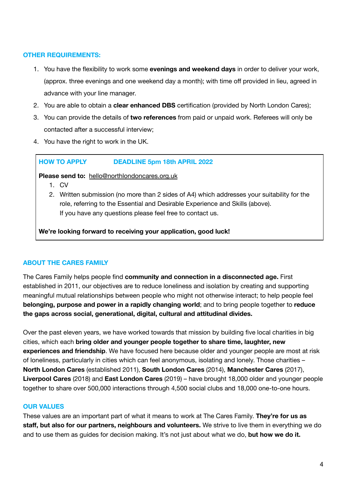#### **OTHER REQUIREMENTS:**

- 1. You have the flexibility to work some **evenings and weekend days** in order to deliver your work, (approx. three evenings and one weekend day a month); with time off provided in lieu, agreed in advance with your line manager.
- 2. You are able to obtain a **clear enhanced DBS** certification (provided by North London Cares);
- 3. You can provide the details of **two references** from paid or unpaid work. Referees will only be contacted after a successful interview;
- 4. You have the right to work in the UK.

#### **HOW TO APPLY DEADLINE 5pm 18th APRIL 2022**

**Please send to:** [hello@northlondoncares.org.uk](mailto:hello@northlondoncares.org.uk)

- 1. CV
- 2. Written submission (no more than 2 sides of A4) which addresses your suitability for the role, referring to the Essential and Desirable Experience and Skills (above). If you have any questions please feel free to contact us.

**We're looking forward to receiving your application, good luck!**

## **ABOUT THE CARES FAMILY**

The Cares Family helps people find **community and connection in a disconnected age.** First established in 2011, our objectives are to reduce loneliness and isolation by creating and supporting meaningful mutual relationships between people who might not otherwise interact; to help people feel **belonging, purpose and power in a rapidly changing world**; and to bring people together to **reduce the gaps across social, generational, digital, cultural and attitudinal divides.**

Over the past eleven years, we have worked towards that mission by building five local charities in big cities, which each **bring older and younger people together to share time, laughter, new experiences and friendship**. We have focused here because older and younger people are most at risk of loneliness, particularly in cities which can feel anonymous, isolating and lonely. Those charities – **North London Cares** (established 2011), **South London Cares** (2014), **Manchester Cares** (2017), **Liverpool Cares** (2018) and **East London Cares** (2019) – have brought 18,000 older and younger people together to share over 500,000 interactions through 4,500 social clubs and 18,000 one-to-one hours.

#### **OUR VALUES**

These values are an important part of what it means to work at The Cares Family. **They're for us as staff, but also for our partners, neighbours and volunteers.** We strive to live them in everything we do and to use them as guides for decision making. It's not just about what we do, **but how we do it.**